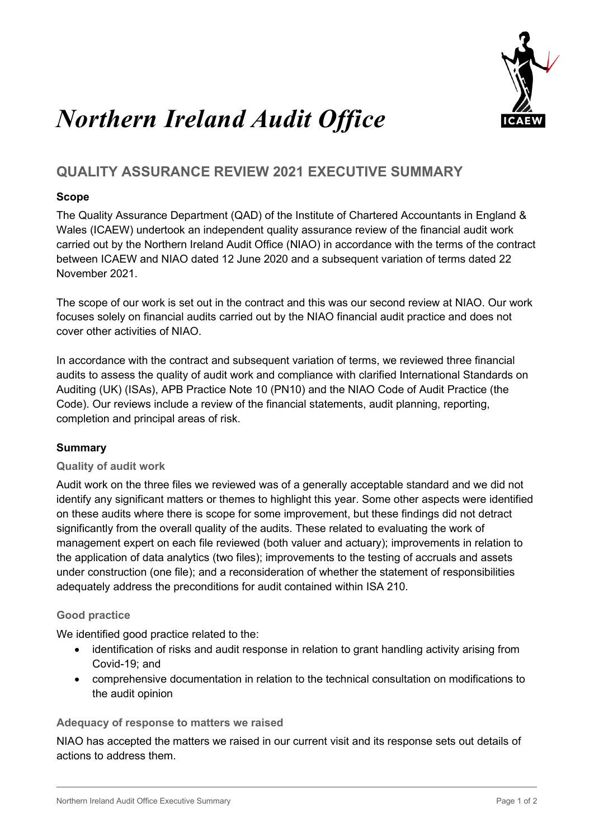

# *Northern Ireland Audit Office*

## **QUALITY ASSURANCE REVIEW 2021 EXECUTIVE SUMMARY**

### **Scope**

The Quality Assurance Department (QAD) of the Institute of Chartered Accountants in England & Wales (ICAEW) undertook an independent quality assurance review of the financial audit work carried out by the Northern Ireland Audit Office (NIAO) in accordance with the terms of the contract between ICAEW and NIAO dated 12 June 2020 and a subsequent variation of terms dated 22 November 2021.

The scope of our work is set out in the contract and this was our second review at NIAO. Our work focuses solely on financial audits carried out by the NIAO financial audit practice and does not cover other activities of NIAO.

In accordance with the contract and subsequent variation of terms, we reviewed three financial audits to assess the quality of audit work and compliance with clarified International Standards on Auditing (UK) (ISAs), APB Practice Note 10 (PN10) and the NIAO Code of Audit Practice (the Code). Our reviews include a review of the financial statements, audit planning, reporting, completion and principal areas of risk.

#### **Summary**

#### **Quality of audit work**

Audit work on the three files we reviewed was of a generally acceptable standard and we did not identify any significant matters or themes to highlight this year. Some other aspects were identified on these audits where there is scope for some improvement, but these findings did not detract significantly from the overall quality of the audits. These related to evaluating the work of management expert on each file reviewed (both valuer and actuary); improvements in relation to the application of data analytics (two files); improvements to the testing of accruals and assets under construction (one file); and a reconsideration of whether the statement of responsibilities adequately address the preconditions for audit contained within ISA 210.

#### **Good practice**

We identified good practice related to the:

- identification of risks and audit response in relation to grant handling activity arising from Covid-19; and
- comprehensive documentation in relation to the technical consultation on modifications to the audit opinion

#### **Adequacy of response to matters we raised**

NIAO has accepted the matters we raised in our current visit and its response sets out details of actions to address them.